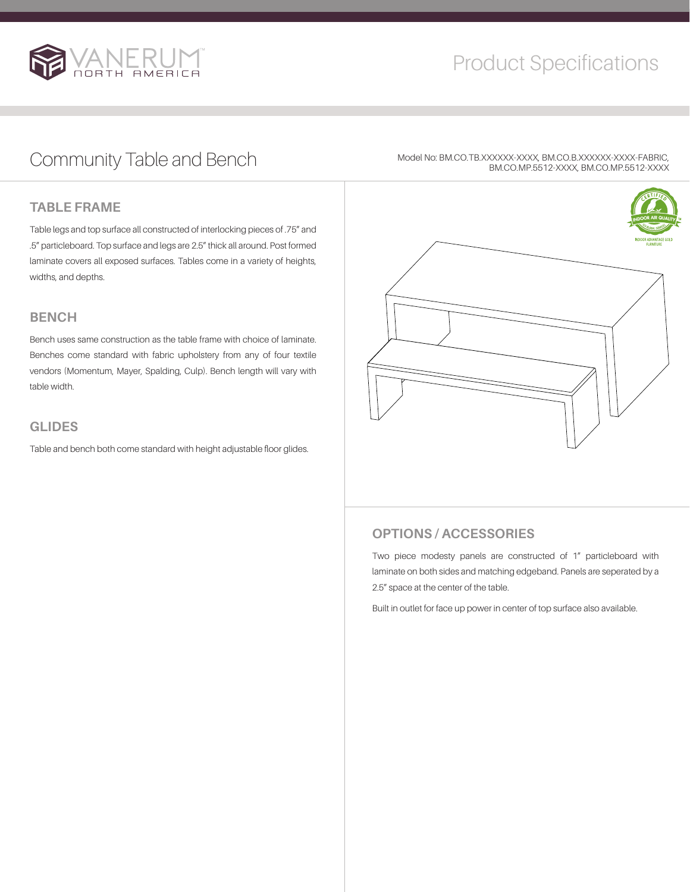

# Product Specifications

#### Community Table and Bench Model No: BM.CO.TB.XXXXXX-XXXX, BM.CO.B.XXXXX-XXXX-FABRIC, BM.CO.MP.5512-XXXX, BM.CO.MP.5512-XXXX

### **TABLE FRAME**

Table legs and top surface all constructed of interlocking pieces of .75" and B .5" particleboard. Top surface and legs are 2.5" thick all around. Post formed laminate covers all exposed surfaces. Tables come in a variety of heights, widths, and depths.

### **BENCH**

Bench uses same construction as the table frame with choice of laminate. Benches come standard with fabric upholstery from any of four textile vendors (Momentum, Mayer, Spalding, Culp). Bench length will vary with table width.

#### **GLIDES**

Table and bench both come standard with height adjustable floor glides.



## **OPTIONS / ACCESSORIES**

Two piece modesty panels are constructed of 1" particleboard with laminate on both sides and matching edgeband. Panels are seperated by a 2.5" space at the center of the table.

Built in outlet for face up power in center of top surface also available.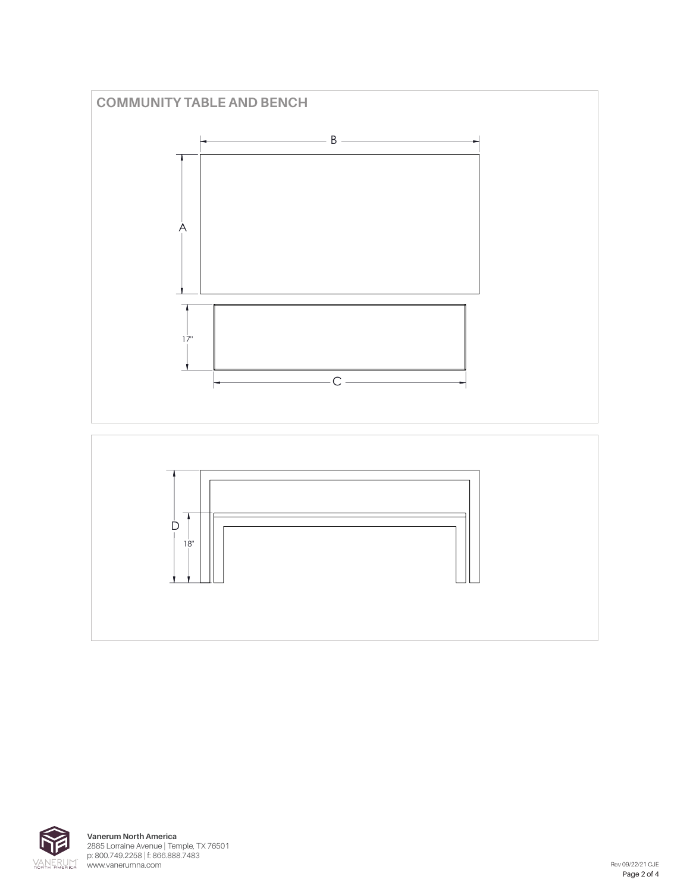

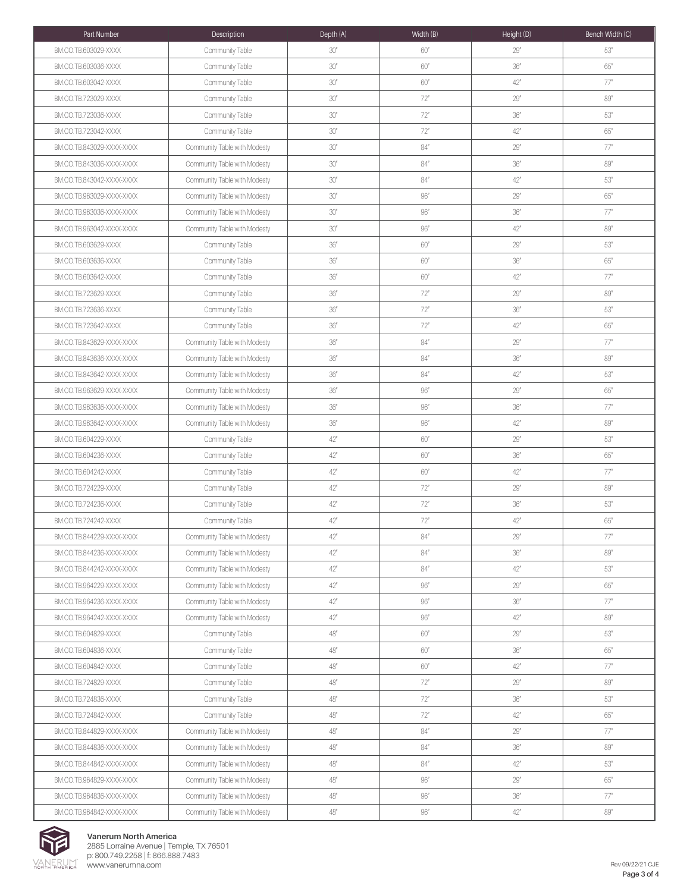| Part Number               | Description                  | Depth (A) | Width (B)       | Height (D)      | Bench Width (C) |
|---------------------------|------------------------------|-----------|-----------------|-----------------|-----------------|
| BM.CO.TB.603029-XXXX      | Community Table              | 30''      | 60''            | 29"             | 53''            |
| BM.CO.TB.603036-XXXX      | Community Table              | 30''      | 60''            | 36''            | 65''            |
| BM.CO.TB.603042-XXXX      | Community Table              | 30''      | 60 <sup>°</sup> | $42^{\circ}$    | 77''            |
| BM.CO.TB.723029-XXXX      | Community Table              | 30''      | $72^{\circ}$    | 29''            | 89''            |
| BM.CO.TB.723036-XXXX      | Community Table              | 30''      | $72^{\circ}$    | 36''            | 53''            |
| BM.CO.TB.723042-XXXX      | Community Table              | 30''      | $72^{\circ}$    | $42^{\circ}$    | 65''            |
| BM.CO.TB.843029-XXXX-XXXX | Community Table with Modesty | 30''      | 84''            | 29''            | 77"             |
| BM.CO.TB.843036-XXXX-XXXX | Community Table with Modesty | 30''      | 84''            | 36''            | 89''            |
| BM.CO.TB.843042-XXXX-XXXX | Community Table with Modesty | 30″       | 84''            | $42^{\circ}$    | 53''            |
| BM.CO.TB.963029-XXXX-XXXX | Community Table with Modesty | 30''      | 96''            | 29''            | 65''            |
| BM.CO.TB.963036-XXXX-XXXX | Community Table with Modesty | 30''      | 96''            | 36''            | 77''            |
| BM.CO.TB.963042-XXXX-XXXX | Community Table with Modesty | 30''      | 96''            | $42^{\circ}$    | 89''            |
| BM.CO.TB.603629-XXXX      | Community Table              | 36''      | 60''            | 29''            | 53''            |
| BM.CO.TB.603636-XXXX      | Community Table              | 36''      | 60''            | 36''            | 65''            |
| BM.CO.TB.603642-XXXX      | Community Table              | 36''      | 60''            | 42 <sup>°</sup> | 77"             |
| BM.CO.TB.723629-XXXX      | Community Table              | 36''      | $72^{\circ}$    | 29 <sup>°</sup> | 89''            |
| BM.CO.TB.723636-XXXX      | Community Table              | 36''      | $72^{\circ}$    | 36''            | 53''            |
| BM.CO.TB.723642-XXXX      | Community Table              | 36''      | $72^{\circ}$    | $42^{\circ}$    | 65''            |
| BM.CO.TB.843629-XXXX-XXXX | Community Table with Modesty | 36''      | 84''            | 29''            | 77''            |
| BM.CO.TB.843636-XXXX-XXXX | Community Table with Modesty | 36''      | 84''            | 36''            | 89''            |
| BM.CO.TB.843642-XXXX-XXXX | Community Table with Modesty | 36''      | 84''            | $42^{\circ}$    | 53''            |
| BM.CO.TB.963629-XXXX-XXXX | Community Table with Modesty | 36''      | 96''            | 29''            | 65''            |
| BM.CO.TB.963636-XXXX-XXXX | Community Table with Modesty | 36''      | 96''            | 36''            | 77''            |
| BM.CO.TB.963642-XXXX-XXXX | Community Table with Modesty | 36''      | 96''            | $42^{\circ}$    | 89''            |
| BM.CO.TB.604229-XXXX      | Community Table              | 42"       | 60''            | 29''            | 53''            |
| BM.CO.TB.604236-XXXX      | Community Table              | 42''      | 60''            | 36''            | 65''            |
| BM.CO.TB.604242-XXXX      | Community Table              | 42"       | 60''            | $42^{\circ}$    | 77''            |
| BM.CO.TB.724229-XXXX      | Community Table              | 42"       | $72^{\circ}$    | 29''            | 89''            |
| BM.CO.TB.724236-XXXX      | Community Table              | 42"       | $72^{\circ}$    | 36''            | 53''            |
| BM.CO.TB.724242-XXXX      | Community Table              | 42''      | $72^{\circ}$    | $42^{\circ}$    | 65''            |
| BM.CO.TB.844229-XXXX-XXXX | Community Table with Modesty | 42"       | 84"             | 29"             | 77"             |
| BM.CO.TB.844236-XXXX-XXXX | Community Table with Modesty | 42"       | 84''            | 36''            | 89''            |
| BM.CO.TB.844242-XXXX-XXXX | Community Table with Modesty | 42"       | 84''            | $42^{\circ}$    | 53''            |
| BM.CO.TB.964229-XXXX-XXXX | Community Table with Modesty | 42"       | 96''            | 29"             | 65''            |
| BM.CO.TB.964236-XXXX-XXXX | Community Table with Modesty | 42"       | 96''            | 36''            | 77"             |
| BM.CO.TB.964242-XXXX-XXXX | Community Table with Modesty | 42"       | 96''            | $42^{\circ}$    | 89''            |
| BM.CO.TB.604829-XXXX      | Community Table              | 48''      | 60''            | 29 <sup>°</sup> | 53''            |
| BM.CO.TB.604836-XXXX      | Community Table              | 48''      | 60''            | 36''            | 65''            |
| BM.CO.TB.604842-XXXX      | Community Table              | 48″       | 60''            | $42^{\circ}$    | 77"             |
| BM.CO.TB.724829-XXXX      | Community Table              | 48″       | $72^{\circ}$    | 29 <sup>°</sup> | 89''            |
| BM.CO.TB.724836-XXXX      | Community Table              | 48″       | $72^{\circ}$    | 36''            | 53''            |
| BM.CO.TB.724842-XXXX      | Community Table              | 48″       | $72^{\circ}$    | $42^{\circ}$    | 65''            |
| BM.CO.TB.844829-XXXX-XXXX | Community Table with Modesty | 48''      | 84''            | 29 <sup>°</sup> | 77''            |
| BM.CO.TB.844836-XXXX-XXXX | Community Table with Modesty | 48″       | 84''            | 36''            | 89''            |
| BM.CO.TB.844842-XXXX-XXXX | Community Table with Modesty | 48″       | 84''            | $42^{\circ}$    | 53''            |
| BM.CO.TB.964829-XXXX-XXXX | Community Table with Modesty | 48″       | 96''            | 29"             | 65''            |
| BM.CO.TB.964836-XXXX-XXXX | Community Table with Modesty | 48″       | 96''            | 36''            | 77"             |
| BM.CO.TB.964842-XXXX-XXXX | Community Table with Modesty | 48″       | 96''            | $42^{\circ}$    | 89''            |